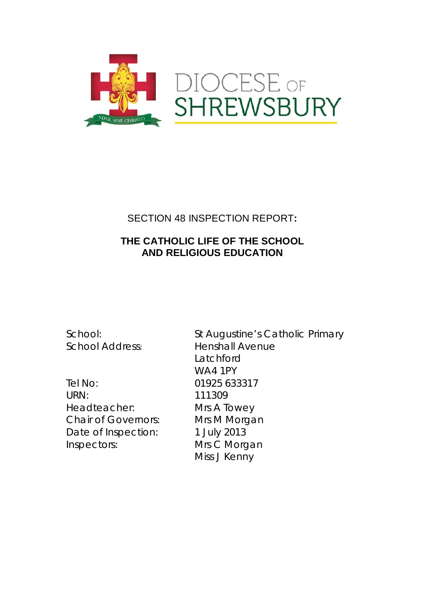

# SECTION 48 INSPECTION REPORT**:**

## **THE CATHOLIC LIFE OF THE SCHOOL AND RELIGIOUS EDUCATION**

Tel No: 01925 633317 URN: 111309 Headteacher: Mrs A Towey Chair of Governors: Mrs M Morgan Date of Inspection: 1 July 2013 Inspectors: Mrs C Morgan

School: St Augustine's Catholic Primary School Address: Henshall Avenue **Latchford** WA4 1PY Miss J Kenny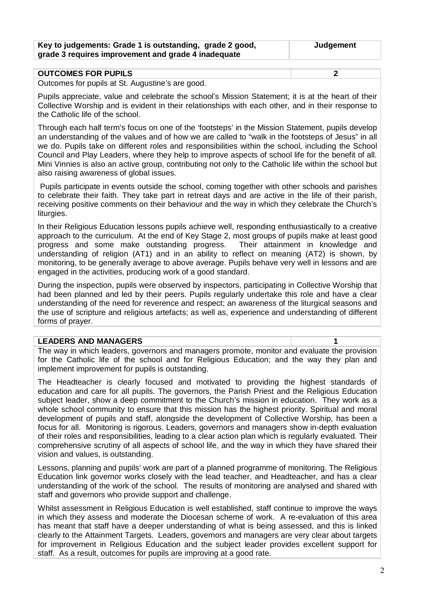| Key to judgements: Grade 1 is outstanding, grade 2 good, | Judgement |
|----------------------------------------------------------|-----------|
| grade 3 requires improvement and grade 4 inadequate      |           |

| <b>OUTCOMES FOR PUPILS</b>                                                                                                                                                                                                                   |  |
|----------------------------------------------------------------------------------------------------------------------------------------------------------------------------------------------------------------------------------------------|--|
| $\bigcap_{x \in \mathbb{R}}$ and $\bigcup_{x \in \mathbb{R}} f(x) = \bigcup_{x \in \mathbb{R}} f(x) = \bigcap_{x \in \mathbb{R}} f(x) = \bigcup_{x \in \mathbb{R}} f(x) = \bigcup_{x \in \mathbb{R}} f(x) = \bigcup_{x \in \mathbb{R}} f(x)$ |  |

Outcomes for pupils at St. Augustine's are good.

Pupils appreciate, value and celebrate the school's Mission Statement; it is at the heart of their Collective Worship and is evident in their relationships with each other, and in their response to the Catholic life of the school.

Through each half term's focus on one of the 'footsteps' in the Mission Statement, pupils develop an understanding of the values and of how we are called to "walk in the footsteps of Jesus" in all we do. Pupils take on different roles and responsibilities within the school, including the School Council and Play Leaders, where they help to improve aspects of school life for the benefit of all. Mini Vinnies is also an active group, contributing not only to the Catholic life within the school but also raising awareness of global issues.

Pupils participate in events outside the school, coming together with other schools and parishes to celebrate their faith. They take part in retreat days and are active in the life of their parish, receiving positive comments on their behaviour and the way in which they celebrate the Church's liturgies.

In their Religious Education lessons pupils achieve well, responding enthusiastically to a creative approach to the curriculum. At the end of Key Stage 2, most groups of pupils make at least good progress and some make outstanding progress. Their attainment in knowledge and understanding of religion (AT1) and in an ability to reflect on meaning (AT2) is shown, by monitoring, to be generally average to above average. Pupils behave very well in lessons and are engaged in the activities, producing work of a good standard.

During the inspection, pupils were observed by inspectors, participating in Collective Worship that had been planned and led by their peers. Pupils regularly undertake this role and have a clear understanding of the need for reverence and respect; an awareness of the liturgical seasons and the use of scripture and religious artefacts; as well as, experience and understanding of different forms of prayer.

#### **LEADERS AND MANAGERS 1**

The way in which leaders, governors and managers promote, monitor and evaluate the provision for the Catholic life of the school and for Religious Education; and the way they plan and implement improvement for pupils is outstanding.

The Headteacher is clearly focused and motivated to providing the highest standards of education and care for all pupils. The governors, the Parish Priest and the Religious Education subject leader, show a deep commitment to the Church's mission in education. They work as a whole school community to ensure that this mission has the highest priority. Spiritual and moral development of pupils and staff, alongside the development of Collective Worship, has been a focus for all. Monitoring is rigorous. Leaders, governors and managers show in-depth evaluation of their roles and responsibilities, leading to a clear action plan which is regularly evaluated. Their comprehensive scrutiny of all aspects of school life, and the way in which they have shared their vision and values, is outstanding.

Lessons, planning and pupils' work are part of a planned programme of monitoring. The Religious Education link governor works closely with the lead teacher, and Headteacher, and has a clear understanding of the work of the school. The results of monitoring are analysed and shared with staff and governors who provide support and challenge.

Whilst assessment in Religious Education is well established, staff continue to improve the ways in which they assess and moderate the Diocesan scheme of work. A re-evaluation of this area has meant that staff have a deeper understanding of what is being assessed, and this is linked clearly to the Attainment Targets. Leaders, governors and managers are very clear about targets for improvement in Religious Education and the subject leader provides excellent support for staff. As a result, outcomes for pupils are improving at a good rate.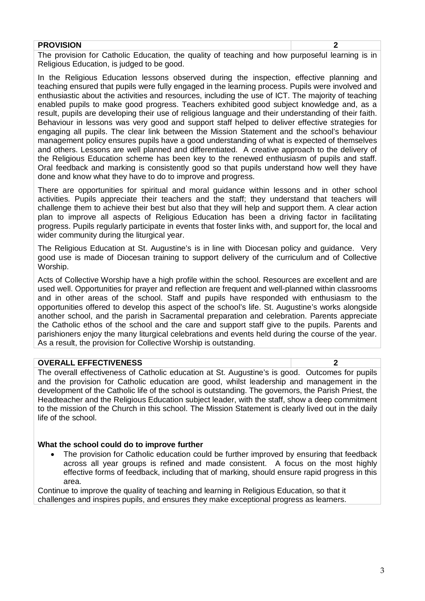#### **PROVISION 2**

The provision for Catholic Education, the quality of teaching and how purposeful learning is in Religious Education, is judged to be good.

In the Religious Education lessons observed during the inspection, effective planning and teaching ensured that pupils were fully engaged in the learning process. Pupils were involved and enthusiastic about the activities and resources, including the use of ICT. The majority of teaching enabled pupils to make good progress. Teachers exhibited good subject knowledge and, as a result, pupils are developing their use of religious language and their understanding of their faith. Behaviour in lessons was very good and support staff helped to deliver effective strategies for engaging all pupils. The clear link between the Mission Statement and the school's behaviour management policy ensures pupils have a good understanding of what is expected of themselves and others. Lessons are well planned and differentiated. A creative approach to the delivery of the Religious Education scheme has been key to the renewed enthusiasm of pupils and staff. Oral feedback and marking is consistently good so that pupils understand how well they have done and know what they have to do to improve and progress.

There are opportunities for spiritual and moral guidance within lessons and in other school activities. Pupils appreciate their teachers and the staff; they understand that teachers will challenge them to achieve their best but also that they will help and support them. A clear action plan to improve all aspects of Religious Education has been a driving factor in facilitating progress. Pupils regularly participate in events that foster links with, and support for, the local and wider community during the liturgical year.

The Religious Education at St. Augustine's is in line with Diocesan policy and guidance. Very good use is made of Diocesan training to support delivery of the curriculum and of Collective Worship.

Acts of Collective Worship have a high profile within the school. Resources are excellent and are used well. Opportunities for prayer and reflection are frequent and well-planned within classrooms and in other areas of the school. Staff and pupils have responded with enthusiasm to the opportunities offered to develop this aspect of the school's life. St. Augustine's works alongside another school, and the parish in Sacramental preparation and celebration. Parents appreciate the Catholic ethos of the school and the care and support staff give to the pupils. Parents and parishioners enjoy the many liturgical celebrations and events held during the course of the year. As a result, the provision for Collective Worship is outstanding.

#### **OVERALL EFFECTIVENESS 2**

The overall effectiveness of Catholic education at St. Augustine's is good. Outcomes for pupils and the provision for Catholic education are good, whilst leadership and management in the development of the Catholic life of the school is outstanding. The governors, the Parish Priest, the Headteacher and the Religious Education subject leader, with the staff, show a deep commitment to the mission of the Church in this school. The Mission Statement is clearly lived out in the daily life of the school.

#### **What the school could do to improve further**

The provision for Catholic education could be further improved by ensuring that feedback across all year groups is refined and made consistent. A focus on the most highly effective forms of feedback, including that of marking, should ensure rapid progress in this area.

Continue to improve the quality of teaching and learning in Religious Education, so that it challenges and inspires pupils, and ensures they make exceptional progress as learners.